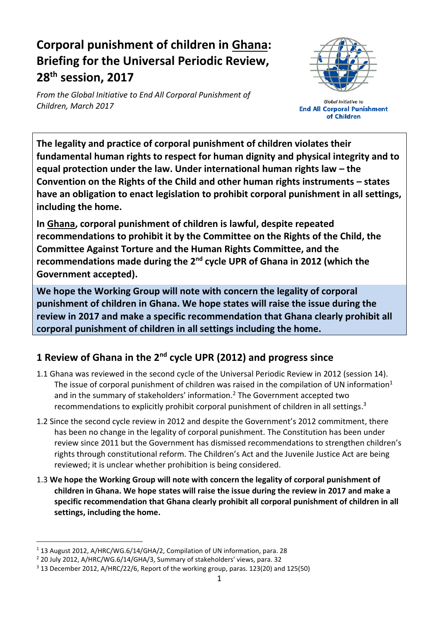# **Corporal punishment of children in Ghana: Briefing for the Universal Periodic Review, 28 th session, 2017**

*From the Global Initiative to End All Corporal Punishment of Children, March 2017*



**Global Initiative to End All Corporal Punishment** of Children

**The legality and practice of corporal punishment of children violates their fundamental human rights to respect for human dignity and physical integrity and to equal protection under the law. Under international human rights law – the Convention on the Rights of the Child and other human rights instruments – states have an obligation to enact legislation to prohibit corporal punishment in all settings, including the home.**

**In Ghana, corporal punishment of children is lawful, despite repeated recommendations to prohibit it by the Committee on the Rights of the Child, the Committee Against Torture and the Human Rights Committee, and the recommendations made during the 2<sup>nd</sup> cycle UPR of Ghana in 2012 (which the Government accepted).** 

**We hope the Working Group will note with concern the legality of corporal punishment of children in Ghana. We hope states will raise the issue during the review in 2017 and make a specific recommendation that Ghana clearly prohibit all corporal punishment of children in all settings including the home.**

## **1 Review of Ghana in the 2nd cycle UPR (2012) and progress since**

- 1.1 Ghana was reviewed in the second cycle of the Universal Periodic Review in 2012 (session 14). The issue of corporal punishment of children was raised in the compilation of UN information<sup>1</sup> and in the summary of stakeholders' information.<sup>2</sup> The Government accepted two recommendations to explicitly prohibit corporal punishment of children in all settings.<sup>3</sup>
- 1.2 Since the second cycle review in 2012 and despite the Government's 2012 commitment, there has been no change in the legality of corporal punishment. The Constitution has been under review since 2011 but the Government has dismissed recommendations to strengthen children's rights through constitutional reform. The Children's Act and the Juvenile Justice Act are being reviewed; it is unclear whether prohibition is being considered.
- 1.3 **We hope the Working Group will note with concern the legality of corporal punishment of children in Ghana. We hope states will raise the issue during the review in 2017 and make a specific recommendation that Ghana clearly prohibit all corporal punishment of children in all settings, including the home.**

<sup>&</sup>lt;sup>1</sup> 13 August 2012, A/HRC/WG.6/14/GHA/2, Compilation of UN information, para. 28

<sup>2</sup> 20 July 2012, A/HRC/WG.6/14/GHA/3, Summary of stakeholders' views, para. 32

<sup>3</sup> 13 December 2012, A/HRC/22/6, Report of the working group, paras. 123(20) and 125(50)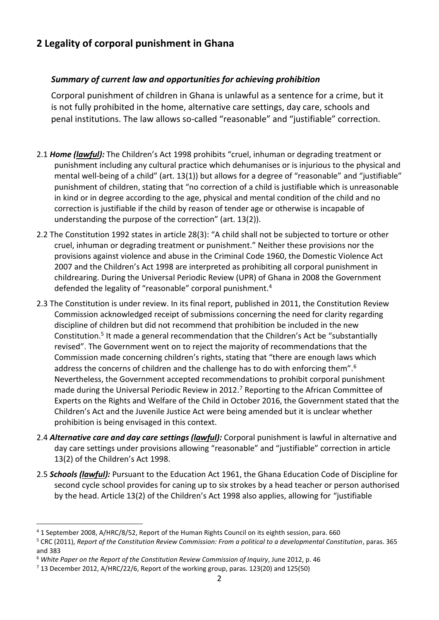### **2 Legality of corporal punishment in Ghana**

#### *Summary of current law and opportunities for achieving prohibition*

Corporal punishment of children in Ghana is unlawful as a sentence for a crime, but it is not fully prohibited in the home, alternative care settings, day care, schools and penal institutions. The law allows so-called "reasonable" and "justifiable" correction.

- 2.1 *Home (lawful):* The Children's Act 1998 prohibits "cruel, inhuman or degrading treatment or punishment including any cultural practice which dehumanises or is injurious to the physical and mental well-being of a child" (art. 13(1)) but allows for a degree of "reasonable" and "justifiable" punishment of children, stating that "no correction of a child is justifiable which is unreasonable in kind or in degree according to the age, physical and mental condition of the child and no correction is justifiable if the child by reason of tender age or otherwise is incapable of understanding the purpose of the correction" (art. 13(2)).
- 2.2 The Constitution 1992 states in article 28(3): "A child shall not be subjected to torture or other cruel, inhuman or degrading treatment or punishment." Neither these provisions nor the provisions against violence and abuse in the Criminal Code 1960, the Domestic Violence Act 2007 and the Children's Act 1998 are interpreted as prohibiting all corporal punishment in childrearing. During the Universal Periodic Review (UPR) of Ghana in 2008 the Government defended the legality of "reasonable" corporal punishment.<sup>4</sup>
- 2.3 The Constitution is under review. In its final report, published in 2011, the Constitution Review Commission acknowledged receipt of submissions concerning the need for clarity regarding discipline of children but did not recommend that prohibition be included in the new Constitution.<sup>5</sup> It made a general recommendation that the Children's Act be "substantially revised". The Government went on to reject the majority of recommendations that the Commission made concerning children's rights, stating that "there are enough laws which address the concerns of children and the challenge has to do with enforcing them".<sup>6</sup> Nevertheless, the Government accepted recommendations to prohibit corporal punishment made during the Universal Periodic Review in 2012.<sup>7</sup> Reporting to the African Committee of Experts on the Rights and Welfare of the Child in October 2016, the Government stated that the Children's Act and the Juvenile Justice Act were being amended but it is unclear whether prohibition is being envisaged in this context.
- 2.4 *Alternative care and day care settings (lawful):* Corporal punishment is lawful in alternative and day care settings under provisions allowing "reasonable" and "justifiable" correction in article 13(2) of the Children's Act 1998.
- 2.5 *Schools (lawful):* Pursuant to the Education Act 1961, the Ghana Education Code of Discipline for second cycle school provides for caning up to six strokes by a head teacher or person authorised by the head. Article 13(2) of the Children's Act 1998 also applies, allowing for "justifiable

<sup>4</sup> 1 September 2008, A/HRC/8/52, Report of the Human Rights Council on its eighth session, para. 660

<sup>5</sup> CRC (2011), *Report of the Constitution Review Commission: From a political to a developmental Constitution*, paras. 365 and 383

<sup>6</sup> *White Paper on the Report of the Constitution Review Commission of Inquiry*, June 2012, p. 46

 $7$  13 December 2012, A/HRC/22/6, Report of the working group, paras. 123(20) and 125(50)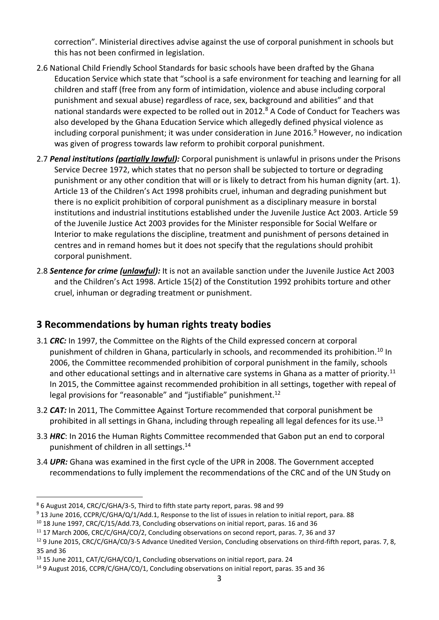correction". Ministerial directives advise against the use of corporal punishment in schools but this has not been confirmed in legislation.

- 2.6 National Child Friendly School Standards for basic schools have been drafted by the Ghana Education Service which state that "school is a safe environment for teaching and learning for all children and staff (free from any form of intimidation, violence and abuse including corporal punishment and sexual abuse) regardless of race, sex, background and abilities" and that national standards were expected to be rolled out in 2012.<sup>8</sup> A Code of Conduct for Teachers was also developed by the Ghana Education Service which allegedly defined physical violence as including corporal punishment; it was under consideration in June 2016.<sup>9</sup> However, no indication was given of progress towards law reform to prohibit corporal punishment.
- 2.7 *Penal institutions (partially lawful):* Corporal punishment is unlawful in prisons under the Prisons Service Decree 1972, which states that no person shall be subjected to torture or degrading punishment or any other condition that will or is likely to detract from his human dignity (art. 1). Article 13 of the Children's Act 1998 prohibits cruel, inhuman and degrading punishment but there is no explicit prohibition of corporal punishment as a disciplinary measure in borstal institutions and industrial institutions established under the Juvenile Justice Act 2003. Article 59 of the Juvenile Justice Act 2003 provides for the Minister responsible for Social Welfare or Interior to make regulations the discipline, treatment and punishment of persons detained in centres and in remand homes but it does not specify that the regulations should prohibit corporal punishment.
- 2.8 *Sentence for crime (unlawful):* It is not an available sanction under the Juvenile Justice Act 2003 and the Children's Act 1998. Article 15(2) of the Constitution 1992 prohibits torture and other cruel, inhuman or degrading treatment or punishment.

### **3 Recommendations by human rights treaty bodies**

- 3.1 *CRC:* In 1997, the Committee on the Rights of the Child expressed concern at corporal punishment of children in Ghana, particularly in schools, and recommended its prohibition.<sup>10</sup> In 2006, the Committee recommended prohibition of corporal punishment in the family, schools and other educational settings and in alternative care systems in Ghana as a matter of priority.<sup>11</sup> In 2015, the Committee against recommended prohibition in all settings, together with repeal of legal provisions for "reasonable" and "justifiable" punishment.<sup>12</sup>
- 3.2 *CAT:* In 2011, The Committee Against Torture recommended that corporal punishment be prohibited in all settings in Ghana, including through repealing all legal defences for its use.<sup>13</sup>
- 3.3 *HRC*: In 2016 the Human Rights Committee recommended that Gabon put an end to corporal punishment of children in all settings.<sup>14</sup>
- 3.4 *UPR:* Ghana was examined in the first cycle of the UPR in 2008. The Government accepted recommendations to fully implement the recommendations of the CRC and of the UN Study on

<sup>8</sup> 6 August 2014, CRC/C/GHA/3-5, Third to fifth state party report, paras. 98 and 99

<sup>9</sup> 13 June 2016, CCPR/C/GHA/Q/1/Add.1, Response to the list of issues in relation to initial report, para. 88

<sup>&</sup>lt;sup>10</sup> 18 June 1997, CRC/C/15/Add.73, Concluding observations on initial report, paras. 16 and 36

<sup>11</sup> 17 March 2006, CRC/C/GHA/CO/2, Concluding observations on second report, paras. 7, 36 and 37

 $12$  9 June 2015, CRC/C/GHA/C0/3-5 Advance Unedited Version, Concluding observations on third-fifth report, paras. 7, 8, 35 and 36

<sup>&</sup>lt;sup>13</sup> 15 June 2011, CAT/C/GHA/CO/1, Concluding observations on initial report, para. 24

<sup>14</sup> 9 August 2016, CCPR/C/GHA/CO/1, Concluding observations on initial report, paras. 35 and 36